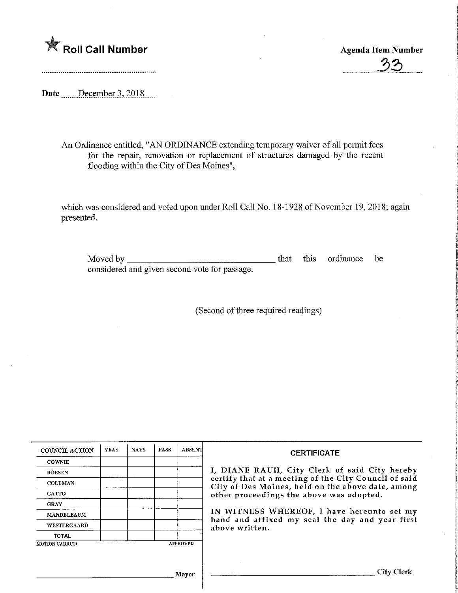## **K** Roll Call Number

Agenda Item Number

**グ** 

Date ......December 3, 2018....

An Ordinance entitled, "AN ORDINANCE extending temporary waiver of all permit fees for the repair, renovation or replacement of structures damaged by the recent flooding within the City of Des Moines",

which was considered and voted upon under Roll Call No. 18-1928 of November 19, 2018; again presented.

| Moved by                                      | that | this ordinance be |  |
|-----------------------------------------------|------|-------------------|--|
| considered and given second vote for passage. |      |                   |  |

(Second of three required readings)

| <b>COUNCIL ACTION</b> | <b>YEAS</b> | <b>NAYS</b> | <b>PASS</b> | <b>ABSENT</b>   | <b>CERTIFICATE</b>                                                                                         |  |  |  |  |
|-----------------------|-------------|-------------|-------------|-----------------|------------------------------------------------------------------------------------------------------------|--|--|--|--|
| <b>COWNIE</b>         |             |             |             |                 |                                                                                                            |  |  |  |  |
| <b>BOESEN</b>         |             |             |             |                 | I, DIANE RAUH, City Clerk of said City hereby                                                              |  |  |  |  |
| <b>COLEMAN</b>        |             |             |             |                 | certify that at a meeting of the City Council of said<br>City of Des Moines, held on the above date, among |  |  |  |  |
| <b>GATTO</b>          |             |             |             |                 | other proceedings the above was adopted.                                                                   |  |  |  |  |
| <b>GRAY</b>           |             |             |             |                 |                                                                                                            |  |  |  |  |
| <b>MANDELBAUM</b>     |             |             |             |                 | IN WITNESS WHEREOF, I have hereunto set my                                                                 |  |  |  |  |
| <b>WESTERGAARD</b>    |             |             |             |                 | hand and affixed my seal the day and year first<br>above written.                                          |  |  |  |  |
| <b>TOTAL</b>          |             |             |             |                 |                                                                                                            |  |  |  |  |
| <b>MOTION CARRIED</b> |             |             |             | <b>APPROVED</b> |                                                                                                            |  |  |  |  |
|                       |             |             |             |                 |                                                                                                            |  |  |  |  |
|                       |             |             |             |                 |                                                                                                            |  |  |  |  |
|                       |             |             |             | <b>Mayor</b>    | <b>City Clerk</b>                                                                                          |  |  |  |  |
|                       |             |             |             |                 |                                                                                                            |  |  |  |  |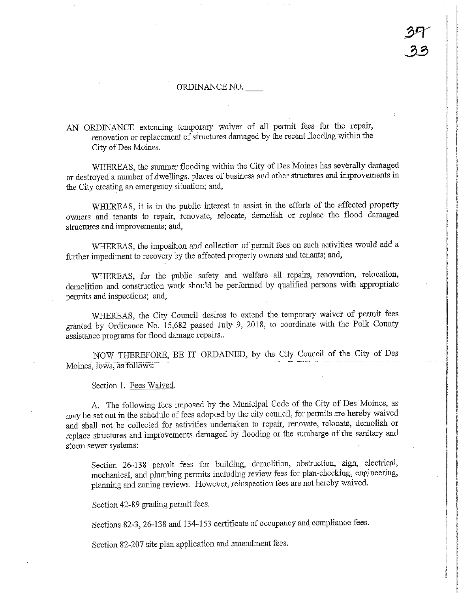## ORDINANCE NO.

AN ORDINANCE extending temporary waiver of all permit fees for the repair, renovation or replacement of structures damaged by the recent flooding within the City of Des Moines.

WHEREAS, the summer flooding within the City of Des Moines has severally damaged or destroyed a number of dwellings, places of business and other structures and improvements in the City creating an emergency situation; and,

WHEREAS, it is in the public interest to assist in the efforts of the affected property owners and tenants to repair, renovate, relocate, demolish or replace the flood damaged structures and improvements; and,

WHEREAS, the imposition and collection of permit fees on such activities would add a farther impediment to recovery by the affected property owners and tenants; and,

WHEREAS, for the public safety and welfare all repairs, renovation, relocation, demolition and construction work should be performed by qualified persons with appropriate permits and inspections; and,

WHEREAS, the City Council desires to extend the temporary waiver of permit fees granted by Ordinance No. 15,682 passed July 9, 2018, to coordinate with the Folk County assistance programs for flood damage repairs..

NOW THEREFORE, BE IT ORDAINED, by the City Council of the City of Des Moines, Iowa, as follows:

Section 1. Fees Waived.

A. The following fees imposed by the Municipal Code of the City of Des Moines, as may be set out in the schedule of fees adopted by the city council, for permits are hereby waived and shall not be collected for activities undertaken to repair, renovate, relocate, demolish or replace structures and improvements damaged by flooding or the surcharge of the sanitary and storm sewer systems:

Section 26-138 permit fees for building, demolition, obstruction, sign, electrical, mechanical, and plumbing permits including review fees for plan-checking, engineering, planuing and zoning reviews. However, reinspection fees are not hereby waived.

Section 42-89 grading permit fees.

Sections 82-3, 26-13S and 134-153 certificate of occupancy and compliance fees.

Section 82-207 site plan application and amendment fees.